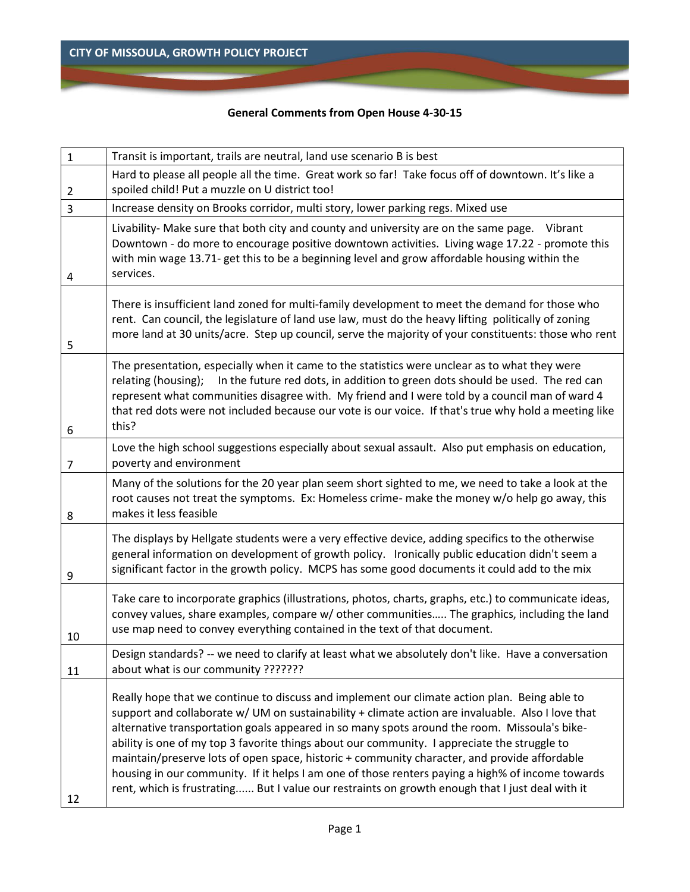## **General Comments from Open House 4-30-15**

| $\mathbf{1}$   | Transit is important, trails are neutral, land use scenario B is best                                                                                                                                                                                                                                                                                                                                                                                                                                                                                                                                                                                                                                    |
|----------------|----------------------------------------------------------------------------------------------------------------------------------------------------------------------------------------------------------------------------------------------------------------------------------------------------------------------------------------------------------------------------------------------------------------------------------------------------------------------------------------------------------------------------------------------------------------------------------------------------------------------------------------------------------------------------------------------------------|
| $\overline{2}$ | Hard to please all people all the time. Great work so far! Take focus off of downtown. It's like a<br>spoiled child! Put a muzzle on U district too!                                                                                                                                                                                                                                                                                                                                                                                                                                                                                                                                                     |
| 3              | Increase density on Brooks corridor, multi story, lower parking regs. Mixed use                                                                                                                                                                                                                                                                                                                                                                                                                                                                                                                                                                                                                          |
| 4              | Livability- Make sure that both city and county and university are on the same page.<br>Vibrant<br>Downtown - do more to encourage positive downtown activities. Living wage 17.22 - promote this<br>with min wage 13.71- get this to be a beginning level and grow affordable housing within the<br>services.                                                                                                                                                                                                                                                                                                                                                                                           |
| 5              | There is insufficient land zoned for multi-family development to meet the demand for those who<br>rent. Can council, the legislature of land use law, must do the heavy lifting politically of zoning<br>more land at 30 units/acre. Step up council, serve the majority of your constituents: those who rent                                                                                                                                                                                                                                                                                                                                                                                            |
| 6              | The presentation, especially when it came to the statistics were unclear as to what they were<br>In the future red dots, in addition to green dots should be used. The red can<br>relating (housing);<br>represent what communities disagree with. My friend and I were told by a council man of ward 4<br>that red dots were not included because our vote is our voice. If that's true why hold a meeting like<br>this?                                                                                                                                                                                                                                                                                |
| 7              | Love the high school suggestions especially about sexual assault. Also put emphasis on education,<br>poverty and environment                                                                                                                                                                                                                                                                                                                                                                                                                                                                                                                                                                             |
| 8              | Many of the solutions for the 20 year plan seem short sighted to me, we need to take a look at the<br>root causes not treat the symptoms. Ex: Homeless crime- make the money w/o help go away, this<br>makes it less feasible                                                                                                                                                                                                                                                                                                                                                                                                                                                                            |
| 9              | The displays by Hellgate students were a very effective device, adding specifics to the otherwise<br>general information on development of growth policy. Ironically public education didn't seem a<br>significant factor in the growth policy. MCPS has some good documents it could add to the mix                                                                                                                                                                                                                                                                                                                                                                                                     |
| 10             | Take care to incorporate graphics (illustrations, photos, charts, graphs, etc.) to communicate ideas,<br>convey values, share examples, compare w/ other communities The graphics, including the land<br>use map need to convey everything contained in the text of that document.                                                                                                                                                                                                                                                                                                                                                                                                                       |
| 11             | Design standards? -- we need to clarify at least what we absolutely don't like. Have a conversation<br>about what is our community ???????                                                                                                                                                                                                                                                                                                                                                                                                                                                                                                                                                               |
| 12             | Really hope that we continue to discuss and implement our climate action plan. Being able to<br>support and collaborate w/ UM on sustainability + climate action are invaluable. Also I love that<br>alternative transportation goals appeared in so many spots around the room. Missoula's bike-<br>ability is one of my top 3 favorite things about our community. I appreciate the struggle to<br>maintain/preserve lots of open space, historic + community character, and provide affordable<br>housing in our community. If it helps I am one of those renters paying a high% of income towards<br>rent, which is frustrating But I value our restraints on growth enough that I just deal with it |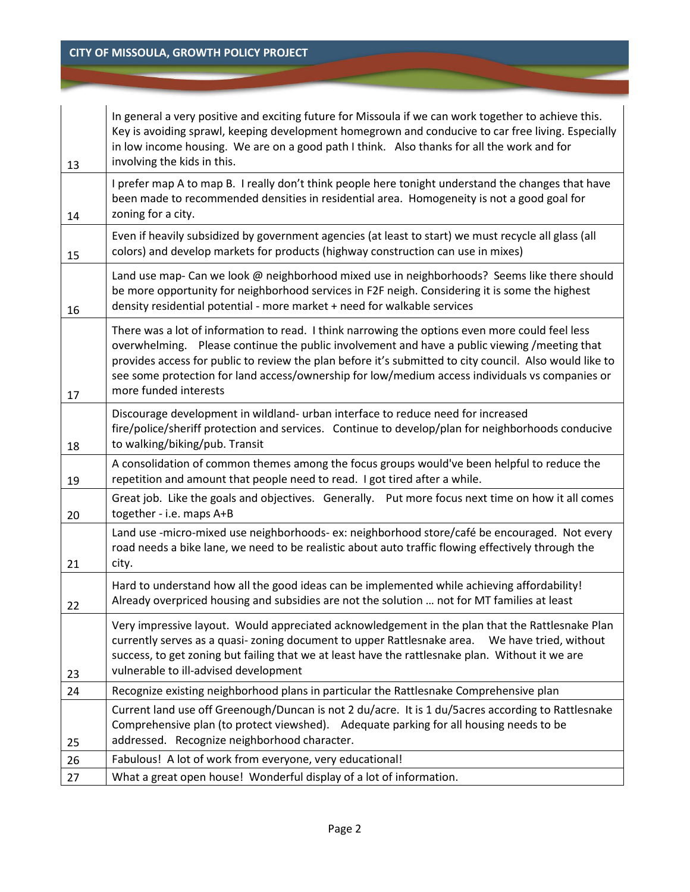| 13 | In general a very positive and exciting future for Missoula if we can work together to achieve this.<br>Key is avoiding sprawl, keeping development homegrown and conducive to car free living. Especially<br>in low income housing. We are on a good path I think. Also thanks for all the work and for<br>involving the kids in this.                                                                                                |
|----|----------------------------------------------------------------------------------------------------------------------------------------------------------------------------------------------------------------------------------------------------------------------------------------------------------------------------------------------------------------------------------------------------------------------------------------|
| 14 | I prefer map A to map B. I really don't think people here tonight understand the changes that have<br>been made to recommended densities in residential area. Homogeneity is not a good goal for<br>zoning for a city.                                                                                                                                                                                                                 |
| 15 | Even if heavily subsidized by government agencies (at least to start) we must recycle all glass (all<br>colors) and develop markets for products (highway construction can use in mixes)                                                                                                                                                                                                                                               |
| 16 | Land use map- Can we look @ neighborhood mixed use in neighborhoods? Seems like there should<br>be more opportunity for neighborhood services in F2F neigh. Considering it is some the highest<br>density residential potential - more market + need for walkable services                                                                                                                                                             |
| 17 | There was a lot of information to read. I think narrowing the options even more could feel less<br>overwhelming. Please continue the public involvement and have a public viewing /meeting that<br>provides access for public to review the plan before it's submitted to city council. Also would like to<br>see some protection for land access/ownership for low/medium access individuals vs companies or<br>more funded interests |
| 18 | Discourage development in wildland- urban interface to reduce need for increased<br>fire/police/sheriff protection and services. Continue to develop/plan for neighborhoods conducive<br>to walking/biking/pub. Transit                                                                                                                                                                                                                |
| 19 | A consolidation of common themes among the focus groups would've been helpful to reduce the<br>repetition and amount that people need to read. I got tired after a while.                                                                                                                                                                                                                                                              |
| 20 | Great job. Like the goals and objectives. Generally. Put more focus next time on how it all comes<br>together - i.e. maps A+B                                                                                                                                                                                                                                                                                                          |
| 21 | Land use -micro-mixed use neighborhoods- ex: neighborhood store/café be encouraged. Not every<br>road needs a bike lane, we need to be realistic about auto traffic flowing effectively through the<br>city.                                                                                                                                                                                                                           |
| 22 | Hard to understand how all the good ideas can be implemented while achieving affordability!<br>Already overpriced housing and subsidies are not the solution  not for MT families at least                                                                                                                                                                                                                                             |
| 23 | Very impressive layout. Would appreciated acknowledgement in the plan that the Rattlesnake Plan<br>currently serves as a quasi- zoning document to upper Rattlesnake area.<br>We have tried, without<br>success, to get zoning but failing that we at least have the rattlesnake plan. Without it we are<br>vulnerable to ill-advised development                                                                                      |
| 24 | Recognize existing neighborhood plans in particular the Rattlesnake Comprehensive plan                                                                                                                                                                                                                                                                                                                                                 |
| 25 | Current land use off Greenough/Duncan is not 2 du/acre. It is 1 du/5acres according to Rattlesnake<br>Comprehensive plan (to protect viewshed). Adequate parking for all housing needs to be<br>addressed. Recognize neighborhood character.                                                                                                                                                                                           |
| 26 | Fabulous! A lot of work from everyone, very educational!                                                                                                                                                                                                                                                                                                                                                                               |
| 27 | What a great open house! Wonderful display of a lot of information.                                                                                                                                                                                                                                                                                                                                                                    |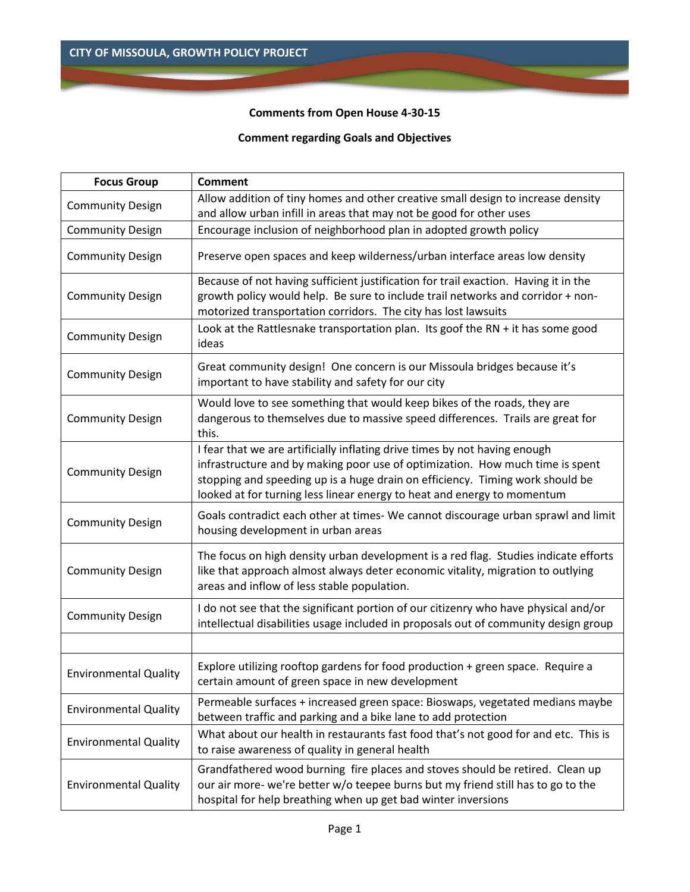# **Comments from Open House 4-30-15**

# **Comment regarding Goals and Objectives**

| <b>Focus Group</b>           | <b>Comment</b>                                                                                                                                                                                                                                                                                                          |
|------------------------------|-------------------------------------------------------------------------------------------------------------------------------------------------------------------------------------------------------------------------------------------------------------------------------------------------------------------------|
| <b>Community Design</b>      | Allow addition of tiny homes and other creative small design to increase density                                                                                                                                                                                                                                        |
|                              | and allow urban infill in areas that may not be good for other uses                                                                                                                                                                                                                                                     |
| <b>Community Design</b>      | Encourage inclusion of neighborhood plan in adopted growth policy                                                                                                                                                                                                                                                       |
| <b>Community Design</b>      | Preserve open spaces and keep wilderness/urban interface areas low density                                                                                                                                                                                                                                              |
| <b>Community Design</b>      | Because of not having sufficient justification for trail exaction. Having it in the<br>growth policy would help. Be sure to include trail networks and corridor + non-<br>motorized transportation corridors. The city has lost lawsuits                                                                                |
| <b>Community Design</b>      | Look at the Rattlesnake transportation plan. Its goof the RN + it has some good<br>ideas                                                                                                                                                                                                                                |
| <b>Community Design</b>      | Great community design! One concern is our Missoula bridges because it's<br>important to have stability and safety for our city                                                                                                                                                                                         |
| <b>Community Design</b>      | Would love to see something that would keep bikes of the roads, they are<br>dangerous to themselves due to massive speed differences. Trails are great for<br>this.                                                                                                                                                     |
| <b>Community Design</b>      | I fear that we are artificially inflating drive times by not having enough<br>infrastructure and by making poor use of optimization. How much time is spent<br>stopping and speeding up is a huge drain on efficiency. Timing work should be<br>looked at for turning less linear energy to heat and energy to momentum |
| <b>Community Design</b>      | Goals contradict each other at times- We cannot discourage urban sprawl and limit<br>housing development in urban areas                                                                                                                                                                                                 |
| <b>Community Design</b>      | The focus on high density urban development is a red flag. Studies indicate efforts<br>like that approach almost always deter economic vitality, migration to outlying<br>areas and inflow of less stable population.                                                                                                   |
| <b>Community Design</b>      | I do not see that the significant portion of our citizenry who have physical and/or<br>intellectual disabilities usage included in proposals out of community design group                                                                                                                                              |
|                              |                                                                                                                                                                                                                                                                                                                         |
| <b>Environmental Quality</b> | Explore utilizing rooftop gardens for food production + green space. Require a<br>certain amount of green space in new development                                                                                                                                                                                      |
| <b>Environmental Quality</b> | Permeable surfaces + increased green space: Bioswaps, vegetated medians maybe<br>between traffic and parking and a bike lane to add protection                                                                                                                                                                          |
| <b>Environmental Quality</b> | What about our health in restaurants fast food that's not good for and etc. This is<br>to raise awareness of quality in general health                                                                                                                                                                                  |
| <b>Environmental Quality</b> | Grandfathered wood burning fire places and stoves should be retired. Clean up<br>our air more- we're better w/o teepee burns but my friend still has to go to the<br>hospital for help breathing when up get bad winter inversions                                                                                      |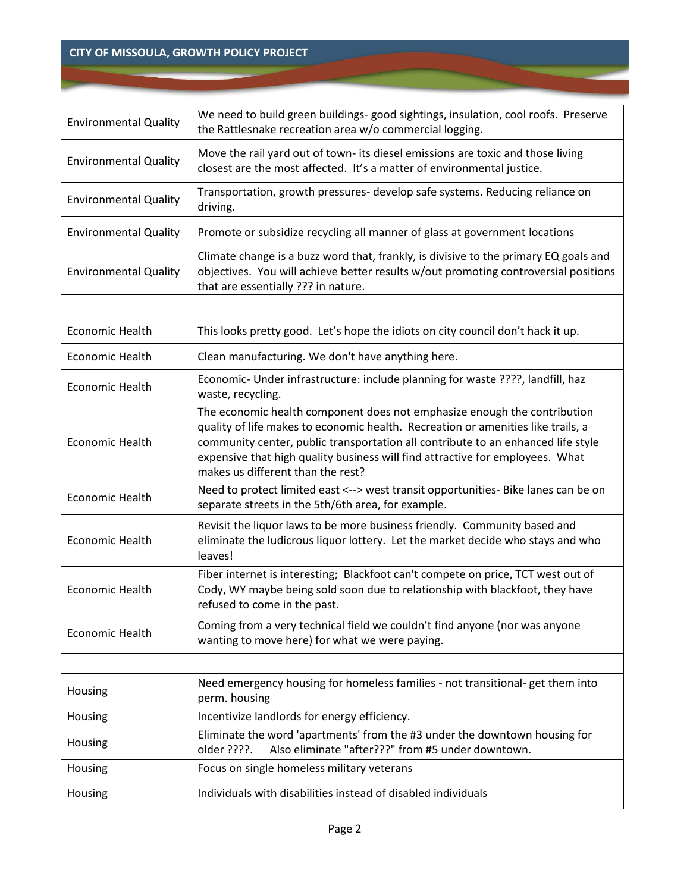| <b>Environmental Quality</b> | We need to build green buildings- good sightings, insulation, cool roofs. Preserve<br>the Rattlesnake recreation area w/o commercial logging.                                                                                                                                                                                                                          |  |  |
|------------------------------|------------------------------------------------------------------------------------------------------------------------------------------------------------------------------------------------------------------------------------------------------------------------------------------------------------------------------------------------------------------------|--|--|
| <b>Environmental Quality</b> | Move the rail yard out of town- its diesel emissions are toxic and those living<br>closest are the most affected. It's a matter of environmental justice.                                                                                                                                                                                                              |  |  |
| <b>Environmental Quality</b> | Transportation, growth pressures- develop safe systems. Reducing reliance on<br>driving.                                                                                                                                                                                                                                                                               |  |  |
| <b>Environmental Quality</b> | Promote or subsidize recycling all manner of glass at government locations                                                                                                                                                                                                                                                                                             |  |  |
| <b>Environmental Quality</b> | Climate change is a buzz word that, frankly, is divisive to the primary EQ goals and<br>objectives. You will achieve better results w/out promoting controversial positions<br>that are essentially ??? in nature.                                                                                                                                                     |  |  |
|                              |                                                                                                                                                                                                                                                                                                                                                                        |  |  |
| Economic Health              | This looks pretty good. Let's hope the idiots on city council don't hack it up.                                                                                                                                                                                                                                                                                        |  |  |
| <b>Economic Health</b>       | Clean manufacturing. We don't have anything here.                                                                                                                                                                                                                                                                                                                      |  |  |
| <b>Economic Health</b>       | Economic- Under infrastructure: include planning for waste ????, landfill, haz<br>waste, recycling.                                                                                                                                                                                                                                                                    |  |  |
| <b>Economic Health</b>       | The economic health component does not emphasize enough the contribution<br>quality of life makes to economic health. Recreation or amenities like trails, a<br>community center, public transportation all contribute to an enhanced life style<br>expensive that high quality business will find attractive for employees. What<br>makes us different than the rest? |  |  |
| <b>Economic Health</b>       | Need to protect limited east <--> west transit opportunities- Bike lanes can be on<br>separate streets in the 5th/6th area, for example.                                                                                                                                                                                                                               |  |  |
| <b>Economic Health</b>       | Revisit the liquor laws to be more business friendly. Community based and<br>eliminate the ludicrous liquor lottery. Let the market decide who stays and who<br>leaves!                                                                                                                                                                                                |  |  |
| <b>Economic Health</b>       | Fiber internet is interesting; Blackfoot can't compete on price, TCT west out of<br>Cody, WY maybe being sold soon due to relationship with blackfoot, they have<br>refused to come in the past.                                                                                                                                                                       |  |  |
| <b>Economic Health</b>       | Coming from a very technical field we couldn't find anyone (nor was anyone<br>wanting to move here) for what we were paying.                                                                                                                                                                                                                                           |  |  |
|                              |                                                                                                                                                                                                                                                                                                                                                                        |  |  |
| Housing                      | Need emergency housing for homeless families - not transitional- get them into<br>perm. housing                                                                                                                                                                                                                                                                        |  |  |
| Housing                      | Incentivize landlords for energy efficiency.                                                                                                                                                                                                                                                                                                                           |  |  |
| Housing                      | Eliminate the word 'apartments' from the #3 under the downtown housing for<br>Also eliminate "after???" from #5 under downtown.<br>older ????.                                                                                                                                                                                                                         |  |  |
| Housing                      | Focus on single homeless military veterans                                                                                                                                                                                                                                                                                                                             |  |  |
| Housing                      | Individuals with disabilities instead of disabled individuals                                                                                                                                                                                                                                                                                                          |  |  |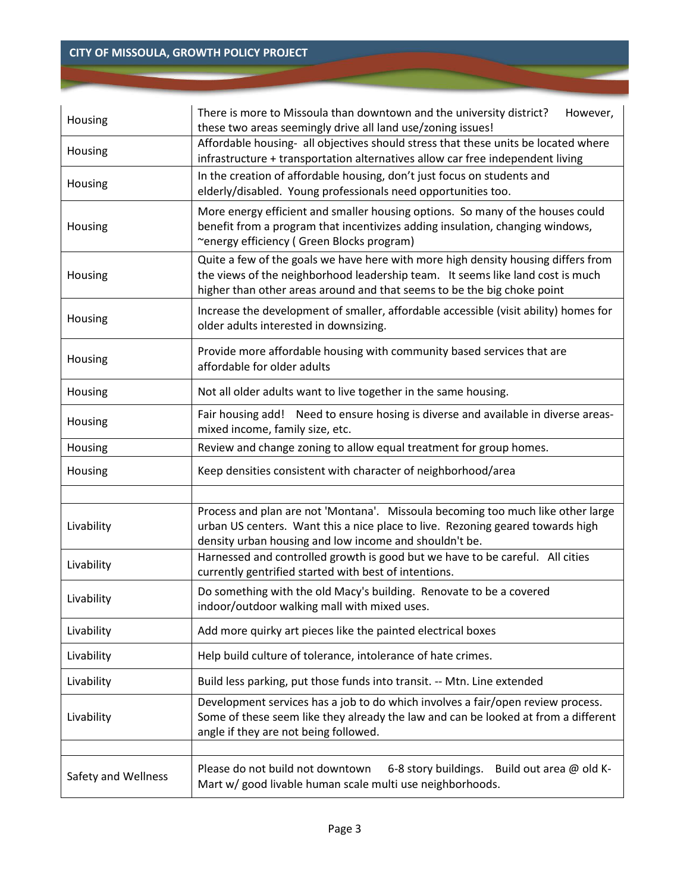| Housing                                                                                                                                                                                                                 | There is more to Missoula than downtown and the university district?<br>However,<br>these two areas seemingly drive all land use/zoning issues!                                                                                                |  |  |  |
|-------------------------------------------------------------------------------------------------------------------------------------------------------------------------------------------------------------------------|------------------------------------------------------------------------------------------------------------------------------------------------------------------------------------------------------------------------------------------------|--|--|--|
| Housing                                                                                                                                                                                                                 | Affordable housing- all objectives should stress that these units be located where<br>infrastructure + transportation alternatives allow car free independent living                                                                           |  |  |  |
| Housing                                                                                                                                                                                                                 | In the creation of affordable housing, don't just focus on students and<br>elderly/disabled. Young professionals need opportunities too.                                                                                                       |  |  |  |
| More energy efficient and smaller housing options. So many of the houses could<br>benefit from a program that incentivizes adding insulation, changing windows,<br>Housing<br>~energy efficiency (Green Blocks program) |                                                                                                                                                                                                                                                |  |  |  |
| Housing                                                                                                                                                                                                                 | Quite a few of the goals we have here with more high density housing differs from<br>the views of the neighborhood leadership team. It seems like land cost is much<br>higher than other areas around and that seems to be the big choke point |  |  |  |
| Housing                                                                                                                                                                                                                 | Increase the development of smaller, affordable accessible (visit ability) homes for<br>older adults interested in downsizing.                                                                                                                 |  |  |  |
| Housing                                                                                                                                                                                                                 | Provide more affordable housing with community based services that are<br>affordable for older adults                                                                                                                                          |  |  |  |
| Housing                                                                                                                                                                                                                 | Not all older adults want to live together in the same housing.                                                                                                                                                                                |  |  |  |
| Housing                                                                                                                                                                                                                 | Fair housing add! Need to ensure hosing is diverse and available in diverse areas-<br>mixed income, family size, etc.                                                                                                                          |  |  |  |
| Review and change zoning to allow equal treatment for group homes.<br>Housing                                                                                                                                           |                                                                                                                                                                                                                                                |  |  |  |
| Housing                                                                                                                                                                                                                 | Keep densities consistent with character of neighborhood/area                                                                                                                                                                                  |  |  |  |
|                                                                                                                                                                                                                         | Process and plan are not 'Montana'. Missoula becoming too much like other large                                                                                                                                                                |  |  |  |
| Livability                                                                                                                                                                                                              | urban US centers. Want this a nice place to live. Rezoning geared towards high<br>density urban housing and low income and shouldn't be.                                                                                                       |  |  |  |
| Harnessed and controlled growth is good but we have to be careful. All cities<br>Livability<br>currently gentrified started with best of intentions.                                                                    |                                                                                                                                                                                                                                                |  |  |  |
| Livability                                                                                                                                                                                                              | Do something with the old Macy's building. Renovate to be a covered<br>indoor/outdoor walking mall with mixed uses.                                                                                                                            |  |  |  |
| Livability                                                                                                                                                                                                              | Add more quirky art pieces like the painted electrical boxes                                                                                                                                                                                   |  |  |  |
| Livability                                                                                                                                                                                                              | Help build culture of tolerance, intolerance of hate crimes.                                                                                                                                                                                   |  |  |  |
| Livability                                                                                                                                                                                                              | Build less parking, put those funds into transit. -- Mtn. Line extended                                                                                                                                                                        |  |  |  |
| Livability                                                                                                                                                                                                              | Development services has a job to do which involves a fair/open review process.<br>Some of these seem like they already the law and can be looked at from a different<br>angle if they are not being followed.                                 |  |  |  |
|                                                                                                                                                                                                                         |                                                                                                                                                                                                                                                |  |  |  |
| Safety and Wellness                                                                                                                                                                                                     | Please do not build not downtown<br>6-8 story buildings. Build out area @ old K-<br>Mart w/ good livable human scale multi use neighborhoods.                                                                                                  |  |  |  |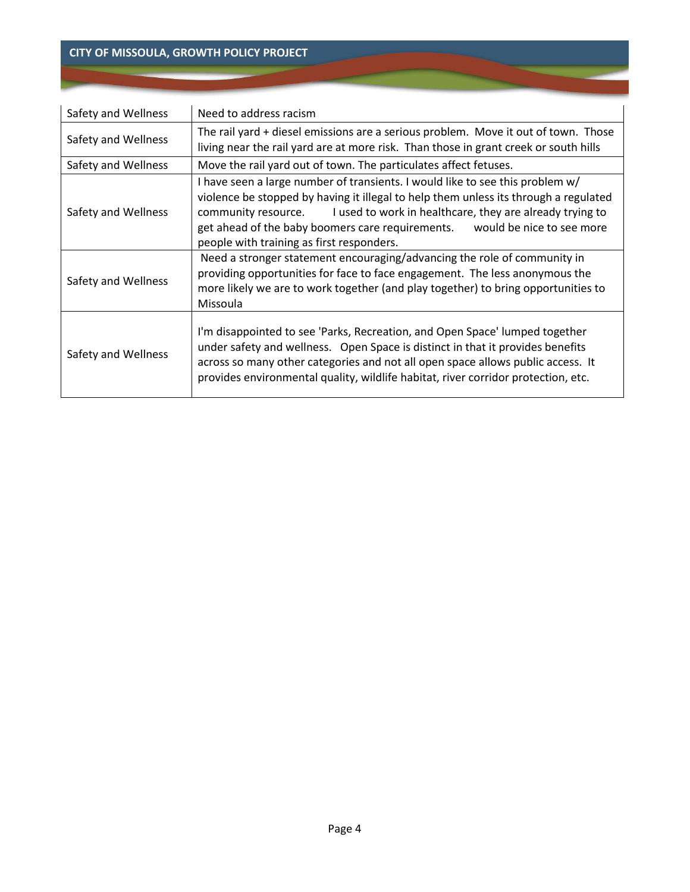| Safety and Wellness                                                                     | Need to address racism                                                                                                                                                                                                                                                                                                                                                                 |  |  |
|-----------------------------------------------------------------------------------------|----------------------------------------------------------------------------------------------------------------------------------------------------------------------------------------------------------------------------------------------------------------------------------------------------------------------------------------------------------------------------------------|--|--|
| Safety and Wellness                                                                     | The rail yard + diesel emissions are a serious problem. Move it out of town. Those<br>living near the rail yard are at more risk. Than those in grant creek or south hills                                                                                                                                                                                                             |  |  |
| Safety and Wellness<br>Move the rail yard out of town. The particulates affect fetuses. |                                                                                                                                                                                                                                                                                                                                                                                        |  |  |
| Safety and Wellness                                                                     | I have seen a large number of transients. I would like to see this problem w/<br>violence be stopped by having it illegal to help them unless its through a regulated<br>I used to work in healthcare, they are already trying to<br>community resource.<br>get ahead of the baby boomers care requirements.<br>would be nice to see more<br>people with training as first responders. |  |  |
| Safety and Wellness                                                                     | Need a stronger statement encouraging/advancing the role of community in<br>providing opportunities for face to face engagement. The less anonymous the<br>more likely we are to work together (and play together) to bring opportunities to<br>Missoula                                                                                                                               |  |  |
| Safety and Wellness                                                                     | I'm disappointed to see 'Parks, Recreation, and Open Space' lumped together<br>under safety and wellness. Open Space is distinct in that it provides benefits<br>across so many other categories and not all open space allows public access. It<br>provides environmental quality, wildlife habitat, river corridor protection, etc.                                                  |  |  |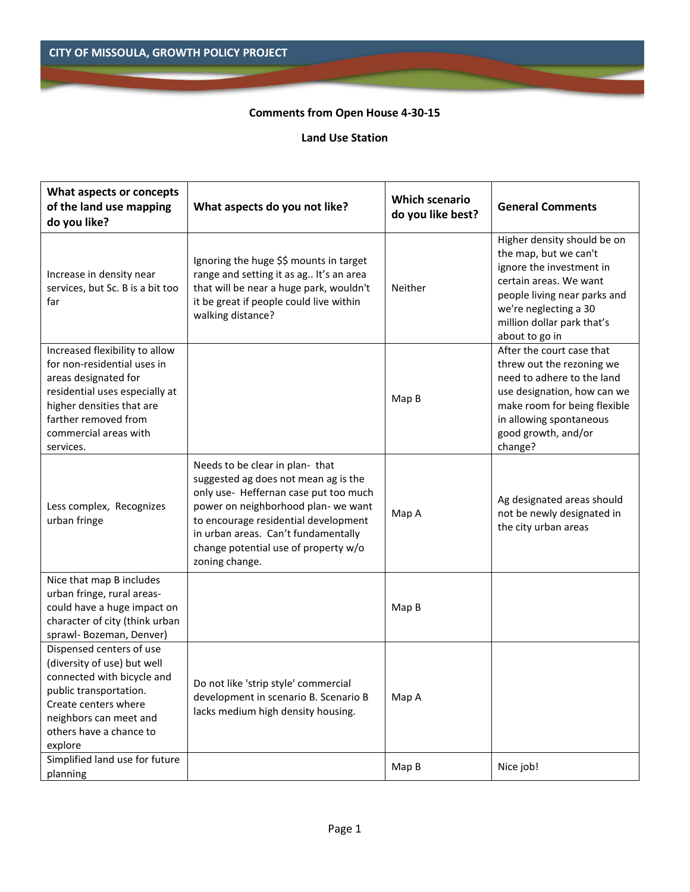## **Comments from Open House 4-30-15**

#### **Land Use Station**

| What aspects or concepts<br>of the land use mapping<br>do you like?                                                                                                                                                | What aspects do you not like?                                                                                                                                                                                                                                                                    | <b>Which scenario</b><br>do you like best? | <b>General Comments</b>                                                                                                                                                                                             |
|--------------------------------------------------------------------------------------------------------------------------------------------------------------------------------------------------------------------|--------------------------------------------------------------------------------------------------------------------------------------------------------------------------------------------------------------------------------------------------------------------------------------------------|--------------------------------------------|---------------------------------------------------------------------------------------------------------------------------------------------------------------------------------------------------------------------|
| Increase in density near<br>services, but Sc. B is a bit too<br>far                                                                                                                                                | Ignoring the huge \$\$ mounts in target<br>range and setting it as ag It's an area<br>that will be near a huge park, wouldn't<br>it be great if people could live within<br>walking distance?                                                                                                    | Neither                                    | Higher density should be on<br>the map, but we can't<br>ignore the investment in<br>certain areas. We want<br>people living near parks and<br>we're neglecting a 30<br>million dollar park that's<br>about to go in |
| Increased flexibility to allow<br>for non-residential uses in<br>areas designated for<br>residential uses especially at<br>higher densities that are<br>farther removed from<br>commercial areas with<br>services. |                                                                                                                                                                                                                                                                                                  | Map B                                      | After the court case that<br>threw out the rezoning we<br>need to adhere to the land<br>use designation, how can we<br>make room for being flexible<br>in allowing spontaneous<br>good growth, and/or<br>change?    |
| Less complex, Recognizes<br>urban fringe                                                                                                                                                                           | Needs to be clear in plan- that<br>suggested ag does not mean ag is the<br>only use- Heffernan case put too much<br>power on neighborhood plan- we want<br>to encourage residential development<br>in urban areas. Can't fundamentally<br>change potential use of property w/o<br>zoning change. | Map A                                      | Ag designated areas should<br>not be newly designated in<br>the city urban areas                                                                                                                                    |
| Nice that map B includes<br>urban fringe, rural areas-<br>could have a huge impact on<br>character of city (think urban<br>sprawl- Bozeman, Denver)                                                                |                                                                                                                                                                                                                                                                                                  | Map B                                      |                                                                                                                                                                                                                     |
| Dispensed centers of use<br>(diversity of use) but well<br>connected with bicycle and<br>public transportation.<br>Create centers where<br>neighbors can meet and<br>others have a chance to<br>explore            | Do not like 'strip style' commercial<br>development in scenario B. Scenario B<br>lacks medium high density housing.                                                                                                                                                                              | Map A                                      |                                                                                                                                                                                                                     |
| Simplified land use for future<br>planning                                                                                                                                                                         |                                                                                                                                                                                                                                                                                                  | Map B                                      | Nice job!                                                                                                                                                                                                           |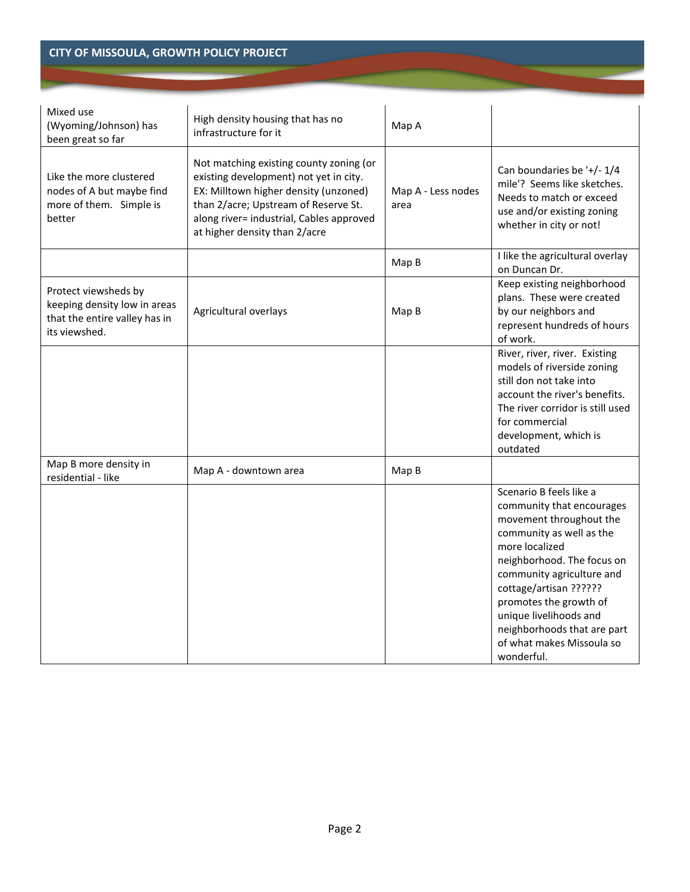| Mixed use<br>(Wyoming/Johnson) has<br>been great so far                                                | High density housing that has no<br>infrastructure for it                                                                                                                                                                                       | Map A                      |                                                                                                                                                                                                                                                                                                                                                  |
|--------------------------------------------------------------------------------------------------------|-------------------------------------------------------------------------------------------------------------------------------------------------------------------------------------------------------------------------------------------------|----------------------------|--------------------------------------------------------------------------------------------------------------------------------------------------------------------------------------------------------------------------------------------------------------------------------------------------------------------------------------------------|
| Like the more clustered<br>nodes of A but maybe find<br>more of them. Simple is<br>better              | Not matching existing county zoning (or<br>existing development) not yet in city.<br>EX: Milltown higher density (unzoned)<br>than 2/acre; Upstream of Reserve St.<br>along river= industrial, Cables approved<br>at higher density than 2/acre | Map A - Less nodes<br>area | Can boundaries be '+/- 1/4<br>mile'? Seems like sketches.<br>Needs to match or exceed<br>use and/or existing zoning<br>whether in city or not!                                                                                                                                                                                                   |
|                                                                                                        |                                                                                                                                                                                                                                                 | Map B                      | I like the agricultural overlay<br>on Duncan Dr.                                                                                                                                                                                                                                                                                                 |
| Protect viewsheds by<br>keeping density low in areas<br>that the entire valley has in<br>its viewshed. | Agricultural overlays                                                                                                                                                                                                                           | Map B                      | Keep existing neighborhood<br>plans. These were created<br>by our neighbors and<br>represent hundreds of hours<br>of work.                                                                                                                                                                                                                       |
|                                                                                                        |                                                                                                                                                                                                                                                 |                            | River, river, river. Existing<br>models of riverside zoning<br>still don not take into<br>account the river's benefits.<br>The river corridor is still used<br>for commercial<br>development, which is<br>outdated                                                                                                                               |
| Map B more density in<br>residential - like                                                            | Map A - downtown area                                                                                                                                                                                                                           | Map B                      |                                                                                                                                                                                                                                                                                                                                                  |
|                                                                                                        |                                                                                                                                                                                                                                                 |                            | Scenario B feels like a<br>community that encourages<br>movement throughout the<br>community as well as the<br>more localized<br>neighborhood. The focus on<br>community agriculture and<br>cottage/artisan ??????<br>promotes the growth of<br>unique livelihoods and<br>neighborhoods that are part<br>of what makes Missoula so<br>wonderful. |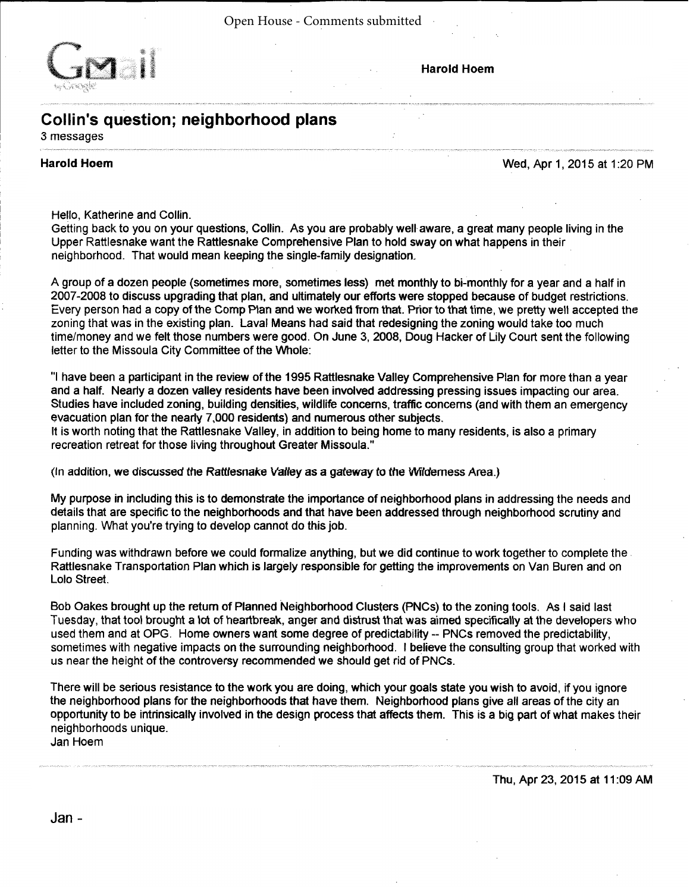Open House - Comments submitted



#### **Harold Hoem**

# Collin's question; neighborhood plans

3 messages

#### **Harold Hoem**

#### Wed, Apr 1, 2015 at 1:20 PM

Hello, Katherine and Collin.

Getting back to you on your questions, Collin. As you are probably well aware, a great many people living in the Upper Rattlesnake want the Rattlesnake Comprehensive Plan to hold sway on what happens in their neighborhood. That would mean keeping the single-family designation.

A group of a dozen people (sometimes more, sometimes less) met monthly to bi-monthly for a year and a half in 2007-2008 to discuss upgrading that plan, and ultimately our efforts were stopped because of budget restrictions. Every person had a copy of the Comp Plan and we worked from that. Prior to that time, we pretty well accepted the zoning that was in the existing plan. Laval Means had said that redesigning the zoning would take too much time/money and we felt those numbers were good. On June 3, 2008, Doug Hacker of Lily Court sent the following letter to the Missoula City Committee of the Whole:

"I have been a participant in the review of the 1995 Rattlesnake Valley Comprehensive Plan for more than a year and a half. Nearly a dozen valley residents have been involved addressing pressing issues impacting our area. Studies have included zoning, building densities, wildlife concerns, traffic concerns (and with them an emergency evacuation plan for the nearly 7,000 residents) and numerous other subjects.

It is worth noting that the Rattlesnake Valley, in addition to being home to many residents, is also a primary recreation retreat for those living throughout Greater Missoula."

(In addition, we discussed the Rattlesnake Valley as a gateway to the Wilderness Area.)

My purpose in including this is to demonstrate the importance of neighborhood plans in addressing the needs and details that are specific to the neighborhoods and that have been addressed through neighborhood scrutiny and planning. What you're trying to develop cannot do this job.

Funding was withdrawn before we could formalize anything, but we did continue to work together to complete the Rattlesnake Transportation Plan which is largely responsible for getting the improvements on Van Buren and on Lolo Street.

Bob Oakes brought up the return of Planned Neighborhood Clusters (PNCs) to the zoning tools. As I said last Tuesday, that tool brought a lot of heartbreak, anger and distrust that was aimed specifically at the developers who used them and at OPG. Home owners want some degree of predictability -- PNCs removed the predictability. sometimes with negative impacts on the surrounding neighborhood. I believe the consulting group that worked with us near the height of the controversy recommended we should get rid of PNCs.

There will be serious resistance to the work you are doing, which your goals state you wish to avoid, if you ignore the neighborhood plans for the neighborhoods that have them. Neighborhood plans give all areas of the city an opportunity to be intrinsically involved in the design process that affects them. This is a big part of what makes their neighborhoods unique.

Jan Hoem

Thu, Apr 23, 2015 at 11:09 AM

Jan -